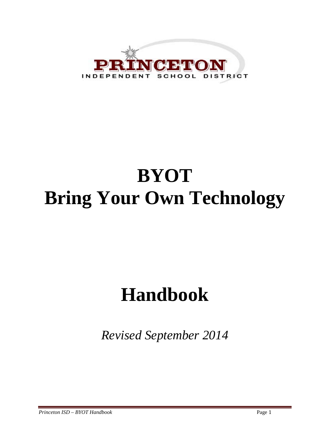

# **BYOT Bring Your Own Technology**

# **Handbook**

*Revised September 2014*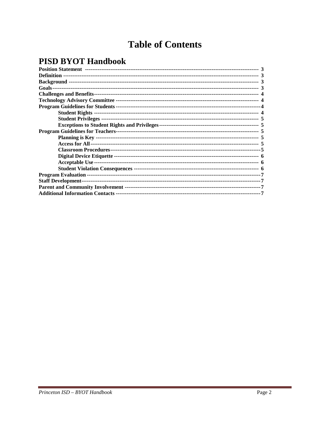# **Table of Contents**

# **PISD BYOT Handbook**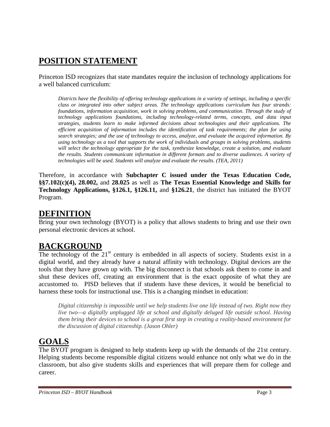# **POSITION STATEMENT**

Princeton ISD recognizes that state mandates require the inclusion of technology applications for a well balanced curriculum:

*Districts have the flexibility of offering technology applications in a variety of settings, including a specific class or integrated into other subject areas. The technology applications curriculum has four strands: foundations, information acquisition, work in solving problems, and communication. Through the study of technology applications foundations, including technology-related terms, concepts, and data input strategies, students learn to make informed decisions about technologies and their applications. The efficient acquisition of information includes the identification of task requirements; the plan for using search strategies; and the use of technology to access, analyze, and evaluate the acquired information. By using technology as a tool that supports the work of individuals and groups in solving problems, students will select the technology appropriate for the task, synthesize knowledge, create a solution, and evaluate the results. Students communicate information in different formats and to diverse audiences. A variety of technologies will be used. Students will analyze and evaluate the results. (TEA, 2011)*

Therefore, in accordance with **Subchapter C issued under the Texas Education Code, §§7.102(c)(4), 28.002,** and **28.025** as well as **The Texas Essential Knowledge and Skills for Technology Applications, §126.1, §126.11,** and **§126.21**, the district has initiated the BYOT Program.

### **DEFINITION**

Bring your own technology (BYOT) is a policy that allows students to bring and use their own personal electronic devices at school.

# **BACKGROUND**

The technology of the  $21<sup>st</sup>$  century is embedded in all aspects of society. Students exist in a digital world, and they already have a natural affinity with technology. Digital devices are the tools that they have grown up with. The big disconnect is that schools ask them to come in and shut these devices off, creating an environment that is the exact opposite of what they are accustomed to. PISD believes that if students have these devices, it would be beneficial to harness these tools for instructional use. This is a changing mindset in education:

*Digital citizenship is impossible until we help students live one life instead of two. Right now they live two—a digitally unplugged life at school and digitally deluged life outside school. Having them bring their devices to school is a great first step in creating a reality-based environment for the discussion of digital citizenship. (Jason Ohler)*

# **GOALS**

The BYOT program is designed to help students keep up with the demands of the 21st century. Helping students become responsible digital citizens would enhance not only what we do in the classroom, but also give students skills and experiences that will prepare them for college and career.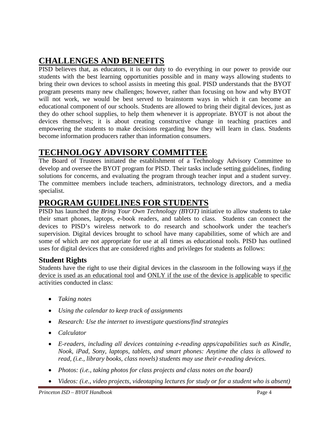# **CHALLENGES AND BENEFITS**

PISD believes that, as educators, it is our duty to do everything in our power to provide our students with the best learning opportunities possible and in many ways allowing students to bring their own devices to school assists in meeting this goal. PISD understands that the BYOT program presents many new challenges; however, rather than focusing on how and why BYOT will not work, we would be best served to brainstorm ways in which it can become an educational component of our schools. Students are allowed to bring their digital devices, just as they do other school supplies, to help them whenever it is appropriate. BYOT is not about the devices themselves; it is about creating constructive change in teaching practices and empowering the students to make decisions regarding how they will learn in class. Students become information producers rather than information consumers.

## **TECHNOLOGY ADVISORY COMMITTEE**

The Board of Trustees initiated the establishment of a Technology Advisory Committee to develop and oversee the BYOT program for PISD. Their tasks include setting guidelines, finding solutions for concerns, and evaluating the program through teacher input and a student survey. The committee members include teachers, administrators, technology directors, and a media specialist.

## **PROGRAM GUIDELINES FOR STUDENTS**

PISD has launched the *Bring Your Own Technology (BYOT)* initiative to allow students to take their smart phones, laptops, e-book readers, and tablets to class. Students can connect the devices to PISD's wireless network to do research and schoolwork under the teacher's supervision. Digital devices brought to school have many capabilities, some of which are and some of which are not appropriate for use at all times as educational tools. PISD has outlined uses for digital devices that are considered rights and privileges for students as follows:

#### **Student Rights**

Students have the right to use their digital devices in the classroom in the following ways if the device is used as an educational tool and ONLY if the use of the device is applicable to specific activities conducted in class:

- *Taking notes*
- *Using the calendar to keep track of assignments*
- *Research: Use the internet to investigate questions/find strategies*
- *Calculator*
- *E-readers, including all devices containing e-reading apps/capabilities such as Kindle, Nook, iPad, Sony, laptops, tablets, and smart phones: Anytime the class is allowed to read, (i.e., library books, class novels) students may use their e-reading devices.*
- *Photos: (i.e., taking photos for class projects and class notes on the board)*
- *Videos: (i.e., video projects, videotaping lectures for study or for a student who is absent)*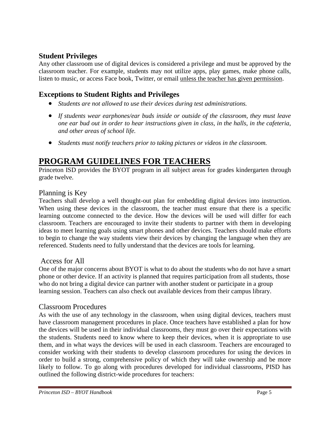#### **Student Privileges**

Any other classroom use of digital devices is considered a privilege and must be approved by the classroom teacher. For example, students may not utilize apps, play games, make phone calls, listen to music, or access Face book, Twitter, or email unless the teacher has given permission.

### **Exceptions to Student Rights and Privileges**

- *Students are not allowed to use their devices during test administrations.*
- *If students wear earphones/ear buds inside or outside of the classroom, they must leave one ear bud out in order to hear instructions given in class, in the halls, in the cafeteria, and other areas of school life.*
- *Students must notify teachers prior to taking pictures or videos in the classroom.*

# **PROGRAM GUIDELINES FOR TEACHERS**

Princeton ISD provides the BYOT program in all subject areas for grades kindergarten through grade twelve.

#### Planning is Key

Teachers shall develop a well thought-out plan for embedding digital devices into instruction. When using these devices in the classroom, the teacher must ensure that there is a specific learning outcome connected to the device. How the devices will be used will differ for each classroom. Teachers are encouraged to invite their students to partner with them in developing ideas to meet learning goals using smart phones and other devices. Teachers should make efforts to begin to change the way students view their devices by changing the language when they are referenced. Students need to fully understand that the devices are tools for learning.

#### Access for All

One of the major concerns about BYOT is what to do about the students who do not have a smart phone or other device. If an activity is planned that requires participation from all students, those who do not bring a digital device can partner with another student or participate in a group learning session. Teachers can also check out available devices from their campus library.

#### Classroom Procedures

As with the use of any technology in the classroom, when using digital devices, teachers must have classroom management procedures in place. Once teachers have established a plan for how the devices will be used in their individual classrooms, they must go over their expectations with the students. Students need to know where to keep their devices, when it is appropriate to use them, and in what ways the devices will be used in each classroom. Teachers are encouraged to consider working with their students to develop classroom procedures for using the devices in order to build a strong, comprehensive policy of which they will take ownership and be more likely to follow. To go along with procedures developed for individual classrooms, PISD has outlined the following district-wide procedures for teachers: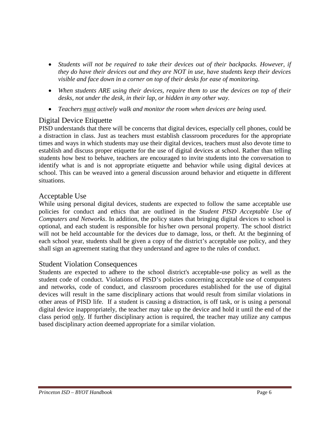- *Students will not be required to take their devices out of their backpacks. However, if they do have their devices out and they are NOT in use, have students keep their devices visible and face down in a corner on top of their desks for ease of monitoring.*
- *When students ARE using their devices, require them to use the devices on top of their desks, not under the desk, in their lap, or hidden in any other way.*
- *Teachers must actively walk and monitor the room when devices are being used.*

#### Digital Device Etiquette

PISD understands that there will be concerns that digital devices, especially cell phones, could be a distraction in class. Just as teachers must establish classroom procedures for the appropriate times and ways in which students may use their digital devices, teachers must also devote time to establish and discuss proper etiquette for the use of digital devices at school. Rather than telling students how best to behave, teachers are encouraged to invite students into the conversation to identify what is and is not appropriate etiquette and behavior while using digital devices at school. This can be weaved into a general discussion around behavior and etiquette in different situations.

#### Acceptable Use

While using personal digital devices, students are expected to follow the same acceptable use policies for conduct and ethics that are outlined in the *Student PISD Acceptable Use of Computers and Networks*. In addition, the policy states that bringing digital devices to school is optional, and each student is responsible for his/her own personal property. The school district will not be held accountable for the devices due to damage, loss, or theft. At the beginning of each school year, students shall be given a copy of the district's acceptable use policy, and they shall sign an agreement stating that they understand and agree to the rules of conduct.

#### Student Violation Consequences

Students are expected to adhere to the school district's acceptable-use policy as well as the student code of conduct. Violations of PISD's policies concerning acceptable use of computers and networks, code of conduct, and classroom procedures established for the use of digital devices will result in the same disciplinary actions that would result from similar violations in other areas of PISD life. If a student is causing a distraction, is off task, or is using a personal digital device inappropriately, the teacher may take up the device and hold it until the end of the class period only. If further disciplinary action is required, the teacher may utilize any campus based disciplinary action deemed appropriate for a similar violation.